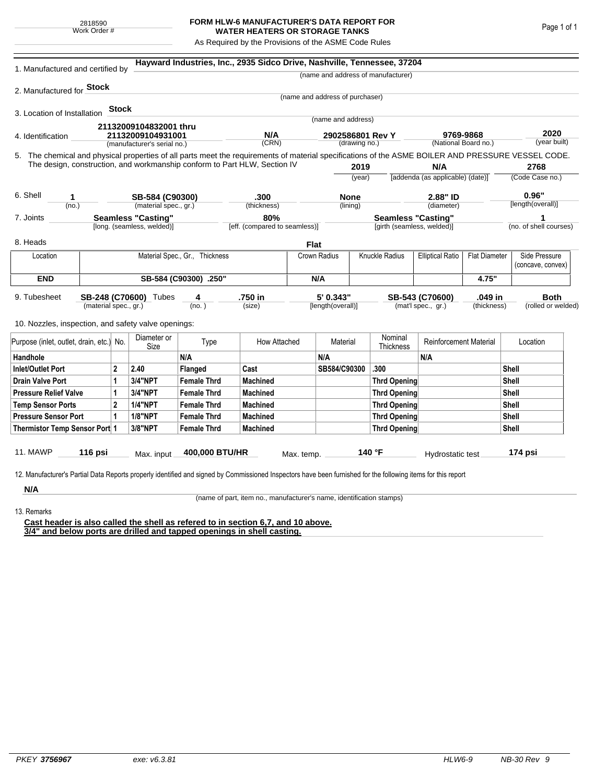## **FORM HLW-6 MANUFACTURER'S DATA REPORT FOR WATER HEATERS OR STORAGE TANKS**

As Required by the Provisions of the ASME Code Rules

| 1. Manufactured and certified by                                                                                                                              |                       |              |                            |                                | Hayward Industries, Inc., 2935 Sidco Drive, Nashville, Tennessee, 37204   |            |                                 |                      |                                           |                               |                         |                      |                   |  |
|---------------------------------------------------------------------------------------------------------------------------------------------------------------|-----------------------|--------------|----------------------------|--------------------------------|---------------------------------------------------------------------------|------------|---------------------------------|----------------------|-------------------------------------------|-------------------------------|-------------------------|----------------------|-------------------|--|
|                                                                                                                                                               |                       |              |                            |                                |                                                                           |            |                                 |                      | (name and address of manufacturer)        |                               |                         |                      |                   |  |
| 2. Manufactured for <b>Stock</b>                                                                                                                              |                       |              |                            |                                |                                                                           |            |                                 |                      |                                           |                               |                         |                      |                   |  |
|                                                                                                                                                               |                       |              |                            |                                |                                                                           |            | (name and address of purchaser) |                      |                                           |                               |                         |                      |                   |  |
| 3. Location of Installation                                                                                                                                   |                       | <b>Stock</b> |                            |                                |                                                                           |            |                                 |                      |                                           |                               |                         |                      |                   |  |
|                                                                                                                                                               |                       |              | 21132009104832001 thru     |                                |                                                                           |            | (name and address)              |                      |                                           |                               |                         |                      |                   |  |
| 4. Identification                                                                                                                                             |                       |              | 21132009104931001          |                                | N/A                                                                       |            | 2902586801 Rev Y                |                      |                                           | 9769-9868                     |                         | 2020<br>(year built) |                   |  |
| (manufacturer's serial no.)                                                                                                                                   |                       |              |                            |                                | (CRN)<br>(drawing no.)                                                    |            |                                 | (National Board no.) |                                           |                               |                         |                      |                   |  |
| 5. The chemical and physical properties of all parts meet the requirements of material specifications of the ASME BOILER AND PRESSURE VESSEL CODE.            |                       |              |                            |                                | The design, construction, and workmanship conform to Part HLW, Section IV |            |                                 |                      |                                           |                               |                         |                      |                   |  |
|                                                                                                                                                               |                       |              |                            |                                |                                                                           |            | 2019                            |                      | N/A<br>[addenda (as applicable) (date)]   |                               | 2768<br>(Code Case no.) |                      |                   |  |
|                                                                                                                                                               |                       |              |                            |                                |                                                                           |            |                                 | (year)               |                                           |                               |                         |                      |                   |  |
| 6. Shell<br>1                                                                                                                                                 |                       |              | SB-584 (C90300)            |                                | .300                                                                      |            | <b>None</b>                     |                      |                                           | 2.88" ID                      |                         | 0.96"                |                   |  |
| (no.)                                                                                                                                                         |                       |              | (material spec., gr.)      |                                | (thickness)                                                               |            | (lining)                        |                      | (diameter)                                |                               | [length(overall)]       |                      |                   |  |
| <b>Seamless "Casting"</b><br>7. Joints                                                                                                                        |                       |              |                            | 80%                            | <b>Seamless "Casting"</b>                                                 |            |                                 |                      |                                           | 1                             |                         |                      |                   |  |
|                                                                                                                                                               |                       |              | [long. (seamless, welded)] |                                | [eff. (compared to seamless)]                                             |            | [girth (seamless, welded)]      |                      |                                           |                               | (no. of shell courses)  |                      |                   |  |
| 8. Heads                                                                                                                                                      |                       |              |                            |                                |                                                                           | Flat       |                                 |                      |                                           |                               |                         |                      |                   |  |
| Location                                                                                                                                                      |                       |              |                            | Material Spec., Gr., Thickness |                                                                           |            | Crown Radius                    |                      | Knuckle Radius<br><b>Elliptical Ratio</b> |                               | <b>Flat Diameter</b>    |                      | Side Pressure     |  |
|                                                                                                                                                               |                       |              |                            |                                |                                                                           |            |                                 |                      |                                           |                               |                         |                      | (concave, convex) |  |
| <b>END</b>                                                                                                                                                    | SB-584 (C90300) .250" |              |                            |                                |                                                                           |            | N/A                             |                      |                                           |                               | 4.75"                   |                      |                   |  |
| 9. Tubesheet<br>SB-248 (C70600) Tubes<br>(material spec., gr.)                                                                                                |                       |              |                            | 4                              |                                                                           | .750 in    |                                 | 5' 0.343"            |                                           | .049 in<br>SB-543 (C70600)    |                         |                      | <b>Both</b>       |  |
|                                                                                                                                                               |                       |              | (no.)                      |                                | (size)                                                                    |            | [length(overall)]               |                      | (mat'l spec., gr.)<br>(thickness)         |                               |                         | (rolled or welded)   |                   |  |
| 10. Nozzles, inspection, and safety valve openings:                                                                                                           |                       |              |                            |                                |                                                                           |            |                                 |                      |                                           |                               |                         |                      |                   |  |
|                                                                                                                                                               |                       |              | Diameter or                |                                |                                                                           |            |                                 |                      | Nominal                                   |                               |                         |                      |                   |  |
| Purpose (inlet, outlet, drain, etc.)                                                                                                                          |                       | No.          | Size                       | Type                           | How Attached                                                              |            | Material                        |                      | Thickness                                 | <b>Reinforcement Material</b> |                         | Location             |                   |  |
| Handhole                                                                                                                                                      |                       |              |                            | N/A                            |                                                                           |            | N/A                             |                      |                                           | N/A                           |                         |                      |                   |  |
| $\overline{2}$<br><b>Inlet/Outlet Port</b>                                                                                                                    |                       |              | 2.40                       | Flanged                        | Cast                                                                      |            | SB584/C90300                    |                      | .300                                      |                               |                         | Shell                |                   |  |
| <b>Drain Valve Port</b><br>1                                                                                                                                  |                       |              | 3/4"NPT                    | <b>Female Thrd</b>             | <b>Machined</b>                                                           |            |                                 |                      | <b>Thrd Opening</b>                       |                               | Shell                   |                      |                   |  |
| <b>Pressure Relief Valve</b><br>1                                                                                                                             |                       |              | 3/4"NPT                    | <b>Female Thrd</b>             | <b>Machined</b>                                                           |            |                                 |                      | <b>Thrd Opening</b>                       |                               |                         | Shell                |                   |  |
| $\overline{2}$<br><b>Temp Sensor Ports</b>                                                                                                                    |                       |              | <b>1/4"NPT</b>             | <b>Female Thrd</b>             | <b>Machined</b>                                                           |            |                                 | <b>Thrd Opening</b>  |                                           |                               | Shell                   |                      |                   |  |
| <b>Pressure Sensor Port</b><br>1                                                                                                                              |                       |              | <b>1/8"NPT</b>             | <b>Female Thrd</b>             | <b>Machined</b>                                                           |            |                                 | <b>Thrd Opening</b>  |                                           |                               |                         | Shell                |                   |  |
| Thermistor Temp Sensor Port 1                                                                                                                                 |                       |              | 3/8"NPT                    | <b>Female Thrd</b>             | <b>Machined</b>                                                           |            |                                 | <b>Thrd Opening</b>  |                                           |                               | Shell                   |                      |                   |  |
|                                                                                                                                                               |                       |              |                            |                                |                                                                           |            |                                 |                      |                                           |                               |                         |                      |                   |  |
| 11. MAWP                                                                                                                                                      | 116 psi               |              | Max. input                 | 400,000 BTU/HR                 |                                                                           | Max. temp. |                                 |                      | 140 °F                                    | Hydrostatic test              |                         |                      | 174 psi           |  |
|                                                                                                                                                               |                       |              |                            |                                |                                                                           |            |                                 |                      |                                           |                               |                         |                      |                   |  |
| 12. Manufacturer's Partial Data Reports properly identified and signed by Commissioned Inspectors have been furnished for the following items for this report |                       |              |                            |                                |                                                                           |            |                                 |                      |                                           |                               |                         |                      |                   |  |
| N/A                                                                                                                                                           |                       |              |                            |                                |                                                                           |            |                                 |                      |                                           |                               |                         |                      |                   |  |

(name of part, item no., manufacturer's name, identification stamps)

13. Remarks

**Cast header is also called the shell as refered to in section 6,7, and 10 above. 3/4" and below ports are drilled and tapped openings in shell casting.**